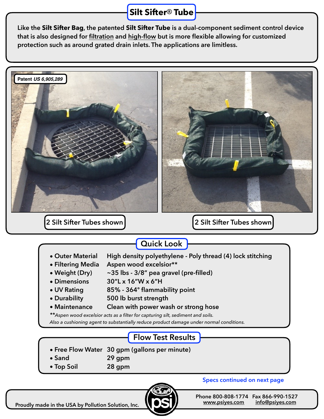## **Silt Sifter**® **Tube**

**Like the Silt Sifter Bag, the patented Silt Sifter Tube is a dual-component sediment control device that is also designed for filtration and high-flow but is more flexible allowing for customized protection such as around grated drain inlets. The applications are limitless.** 



**Proudly made in the USA by Pollution Solution, Inc.**

**Specs continued on next page**

**Phone 800-808-1774 Fax 866-990-1527 [www.psiyes.com](http://www.psiyes.com) [info@psiyes.com](mailto:info@psiyes.com)**